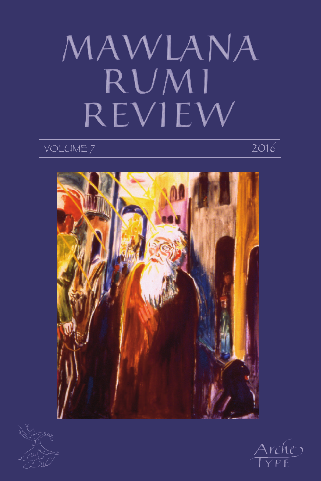





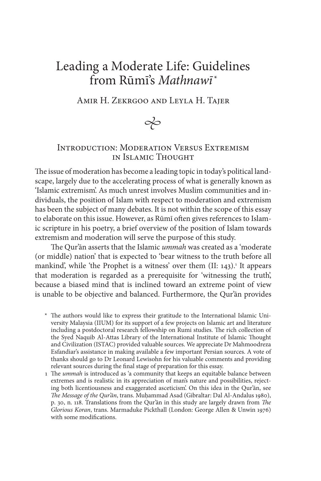# Leading a Moderate Life: Guidelines from Rūmī's *Mathnawī\**

# Amir H. Zekrgoo and Leyla H. Tajer



## Introduction: Moderation Versus Extremism in Islamic Thought

The issue of moderation has become a leading topic in today's political landscape, largely due to the accelerating process of what is generally known as 'Islamic extremism'. As much unrest involves Muslim communities and individuals, the position of Islam with respect to moderation and extremism has been the subject of many debates. It is not within the scope of this essay to elaborate on this issue. However, as Rūmī often gives references to Islamic scripture in his poetry, a brief overview of the position of Islam towards extremism and moderation will serve the purpose of this study.

The Qur'ān asserts that the Islamic *ummah* was created as a 'moderate (or middle) nation' that is expected to 'bear witness to the truth before all mankind', while 'the Prophet is a witness' over them (II: 143).<sup>1</sup> It appears that moderation is regarded as a prerequisite for 'witnessing the truth', because a biased mind that is inclined toward an extreme point of view is unable to be objective and balanced. Furthermore, the Qur'ān provides

- \* The authors would like to express their gratitude to the International Islamic University Malaysia (IIUM) for its support of a few projects on Islamic art and literature including a postdoctoral research fellowship on Rumi studies. The rich collection of the Syed Naquib Al-Attas Library of the International Institute of Islamic Thought and Civilization (ISTAC) provided valuable sources. We appreciate Dr Mahmoodreza Esfandiar's assistance in making available a few important Persian sources. A vote of thanks should go to Dr Leonard Lewisohn for his valuable comments and providing relevant sources during the final stage of preparation for this essay.
- 1 The *ummah* is introduced as 'a community that keeps an equitable balance between extremes and is realistic in its appreciation of man's nature and possibilities, rejecting both licentiousness and exaggerated asceticism'. On this idea in the Qur'ān, see *The Message of the Qur'ān*, trans. Muḥammad Asad (Gibraltar: Dal Al-Andalus 1980), p. 30, n. 118. Translations from the Qur'ān in this study are largely drawn from *The Glorious Koran*, trans. Marmaduke Pickthall (London: George Allen & Unwin 1976) with some modifications.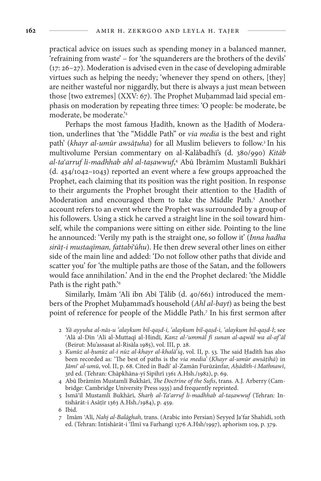practical advice on issues such as spending money in a balanced manner, 'refraining from waste' – for 'the squanderers are the brothers of the devils' (17: 26–27). Moderation is advised even in the case of developing admirable virtues such as helping the needy; 'whenever they spend on others, [they] are neither wasteful nor niggardly, but there is always a just mean between those [two extremes] (XXV: 67). The Prophet Muḥammad laid special emphasis on moderation by repeating three times: 'O people: be moderate, be moderate, be moderate.'2

Perhaps the most famous Ḥadīth, known as the Ḥadīth of Moderation, underlines that 'the "Middle Path" or *via media* is the best and right path' (*khayr al-umūr awsāṭuha*) for all Muslim believers to follow.3 In his multivolume Persian commentary on al-Kalābadhī's (d. 380/990) *Kitāb al-ta*ʿ*arruf li-madhhab ahl al-taṣawwuf*, 4 Abū Ibrāmīm Mustamlī Bukhārī (d. 434/1042–1043) reported an event where a few groups approached the Prophet, each claiming that its position was the right position. In response to their arguments the Prophet brought their attention to the Ḥadīth of Moderation and encouraged them to take the Middle Path.5 Another account refers to an event where the Prophet was surrounded by a group of his followers. Using a stick he carved a straight line in the soil toward himself, while the companions were sitting on either side. Pointing to the line he announced: 'Verily my path is the straight one, so follow it' (*Inna hadha sirāṭ-i mustaqīman, fattabi*ʿ*ūhu*). He then drew several other lines on either side of the main line and added: 'Do not follow other paths that divide and scatter you' for 'the multiple paths are those of the Satan, and the followers would face annihilation.' And in the end the Prophet declared: 'the Middle Path is the right path.'<sup>6</sup>

Similarly, Imām ʿAlī ibn Abī Ṭālib (d. 40/661) introduced the members of the Prophet Muḥammad's household (*Ahl al-bayt*) as being the best point of reference for people of the Middle Path.7 In his first sermon after

- 2 *Yā ayyuha al-nās-u ʿalaykum bil-qaṣd-i, ʿalaykum bil-qaṣd-i, ʿalaykum bil-qaṣd-I*; see ʿAlā al-Dīn ʿAlī al-Muttaqī al-Hindī, *Kanz al-*ʿ*ummāl fī sunan al-aqwāl wa al-afʿāl* (Beirut: Mu'assasat al-Risāla 1985), vol. III, p. 28.
- 3 *Kunūz al-ḥunūz al-ī nūz al-khayr al-khalā*'*iq*, vol. II, p. 53. The said Ḥadīth has also been recorded as: 'The best of paths is the *via media'* (*Khayr al-umūr awsāṭihā*) in *Jāmi*ʿ *al-umū*, vol. II, p. 68. Cited in Badīʿ al-Zamān Furūzānfar, *Aḥādīth-i Mathnawī*, 3rd ed. (Tehran: Chāpkhāna-yi Sipihrī 1361 A.Hsh./1982), p. 69.
- 4 Abū Ibrāmīm Mustamlī Bukhārī, *The Doctrine of the Sufis*, trans. A.J. Arberry (Cambridge: Cambridge University Press 1935) and frequently reprinted.
- 5 Ismāʿīl Mustamlī Bukhārī, *Sharḥ al-Ta*ʿ*arruf li-madhhab al-taṣawwuf* (Tehran: Intishārāt-i Asāṭīr 1363 A.Hsh./1984), p. 459.

7 Imām ʿAlī, *Nahj al-Balāghah*, trans. (Arabic into Persian) Seyyed Jaʿfar Shahīdī, 10th ed. (Tehran: Intishārāt-i ʿIlmī va Farhangī 1376 A.Hsh/1997), aphorism 109, p. 379.

<sup>6</sup> Ibid.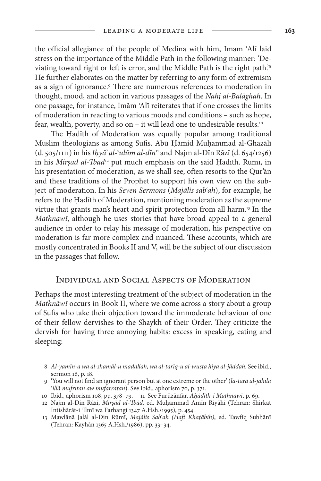the official allegiance of the people of Medina with him, Imam ʿAlī laid stress on the importance of the Middle Path in the following manner: 'Deviating toward right or left is error, and the Middle Path is the right path.'8 He further elaborates on the matter by referring to any form of extremism as a sign of ignorance.9 There are numerous references to moderation in thought, mood, and action in various passages of the *Nahj al-Balāghah*. In one passage, for instance, Imām ʿAlī reiterates that if one crosses the limits of moderation in reacting to various moods and conditions – such as hope, fear, wealth, poverty, and so on – it will lead one to undesirable results.<sup>10</sup>

The Ḥadīth of Moderation was equally popular among traditional Muslim theologians as among Sufis. Abū Ḥāmid Muḥammad al-Ghazālī (d. 505/1111) in his *Iḥyā' al-*ʿ*ulūm al-dīn*11 and Najm al-Dīn Rāzī (d. 654/1256) in his *Mirṣād al-*ʿ*Ibād*12 put much emphasis on the said Ḥadīth. Rūmī, in his presentation of moderation, as we shall see, often resorts to the Qur'ān and these traditions of the Prophet to support his own view on the subject of moderation. In his *Seven Sermons* (*Majālis sab*ʿ*ah*), for example, he refers to the Ḥadīth of Moderation, mentioning moderation as the supreme virtue that grants man's heart and spirit protection from all harm.13 In the *Mathnawī*, although he uses stories that have broad appeal to a general audience in order to relay his message of moderation, his perspective on moderation is far more complex and nuanced. These accounts, which are mostly concentrated in Books II and V, will be the subject of our discussion in the passages that follow.

#### Individual and Social Aspects of Moderation

Perhaps the most interesting treatment of the subject of moderation in the *Mathnāwī* occurs in Book II, where we come across a story about a group of Sufis who take their objection toward the immoderate behaviour of one of their fellow dervishes to the Shaykh of their Order. They criticize the dervish for having three annoying habits: excess in speaking, eating and sleeping:

- 8 *Al-yamīn-a wa al-shamāl-u maḍallah, wa al-ṭarīq-u al-wusṭa hiya al-jāddah.* See ibid., sermon 16, p. 18.
- 9 'You will not find an ignorant person but at one extreme or the other' (*la-tarā al-jāhila*  ʿ*illā mufriṭan aw mufarraṭan*). See ibid., aphorism 70, p. 371.
- 10 Ibid., aphorism 108, pp. 378–79. 11 See Furūzānfar, *Aḥādīth-i Mathnawī*, p. 69.
- 12 Najm al-Din Rāzī, *Mirṣād al-ʿIbād*, ed. Muḥammad Amīn Rīyāhī (Tehran: Shirkat Intishārāt-i ʿIlmī wa Farhangī 1347 A.Hsh./1995), p. 454.
- 13 Mawlānā Jalāl al-Din Rūmī, *Majālis Ṣab*ʿ*ah (Haft Khaṭābih)*, ed. Tawfīq Subḥānī (Tehran: Kayhān 1365 A.Hsh./1986), pp. 33–34.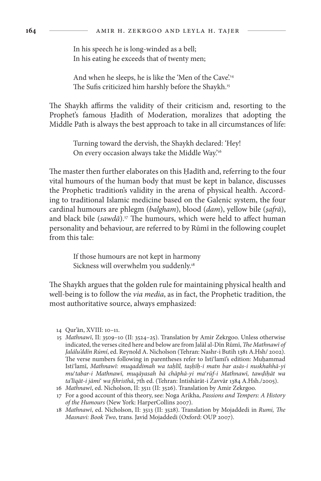In his speech he is long-winded as a bell; In his eating he exceeds that of twenty men;

And when he sleeps, he is like the 'Men of the Cave'.<sup>14</sup> The Sufis criticized him harshly before the Shaykh.15

The Shaykh affirms the validity of their criticism and, resorting to the Prophet's famous Ḥadīth of Moderation, moralizes that adopting the Middle Path is always the best approach to take in all circumstances of life:

> Turning toward the dervish, the Shaykh declared: 'Hey! On every occasion always take the Middle Way.<sup>16</sup>

The master then further elaborates on this Ḥadīth and, referring to the four vital humours of the human body that must be kept in balance, discusses the Prophetic tradition's validity in the arena of physical health. According to traditional Islamic medicine based on the Galenic system, the four cardinal humours are phlegm (*balgham*), blood (*dam*), yellow bile (*ṣafrā*), and black bile (*sawdā*).17 The humours, which were held to affect human personality and behaviour, are referred to by Rūmī in the following couplet from this tale:

> If those humours are not kept in harmony Sickness will overwhelm you suddenly.<sup>18</sup>

The Shaykh argues that the golden rule for maintaining physical health and well-being is to follow the *via media*, as in fact, the Prophetic tradition, the most authoritative source, always emphasized:

- 15 *Mathnawī*, II: 3509–10 (II: 3524–25). Translation by Amir Zekrgoo. Unless otherwise indicated, the verses cited here and below are from Jalāl al-Dīn Rūmī, *The Mathnawī of Jalálu'ddín Rúmí*, ed. Reynold A. Nicholson (Tehran: Nashr-i Butih 1381 A.Hsh/ 2002). The verse numbers following in parentheses refer to Istiʿlamī's edition: Muḥammad Istiʿlamī, *Mathnawī: muqaddimah wa taḥlīl, taṣḥīḥ-i matn bar asās-i nuskhahhā-yi mu*ʿ*tabar-i Mathnawī, muqāyasah bā chāphā-yi ma*ʿ*rūf-i Mathnawī, tawḍiḥāt wa ta'līqāt-i jāmi*ʿ *wa fihristhā*, 7th ed. (Tehran: Intishārāt-i Zavvār 1384 A.Hsh./2005).
- 16 *Mathnawī*, ed. Nicholson, II: 3511 (II: 3526). Translation by Amir Zekrgoo.
- 17 For a good account of this theory, see: Noga Arikha, *Passions and Tempers: A History of the Humours* (New York: HarperCollins 2007).
- 18 *Mathnawī*, ed. Nicholson, II: 3513 (II: 3528). Translation by Mojaddedi in *Rumi, The Masnavi: Book Two*, trans. Javid Mojaddedi (Oxford: OUP 2007).

<sup>14</sup> Qur'ān, XVIII: 10–11.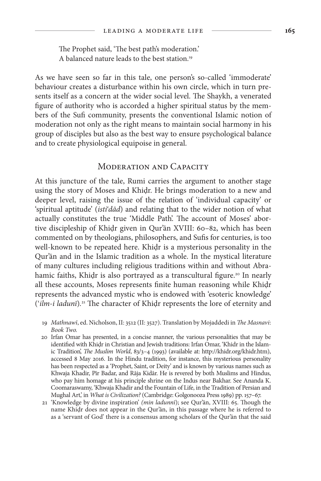The Prophet said, 'The best path's moderation.' A balanced nature leads to the best station.<sup>19</sup>

As we have seen so far in this tale, one person's so-called 'immoderate' behaviour creates a disturbance within his own circle, which in turn presents itself as a concern at the wider social level. The Shaykh, a venerated figure of authority who is accorded a higher spiritual status by the members of the Sufi community, presents the conventional Islamic notion of moderation not only as the right means to maintain social harmony in his group of disciples but also as the best way to ensure psychological balance and to create physiological equipoise in general.

### MODERATION AND CAPACITY

At this juncture of the tale, Rumi carries the argument to another stage using the story of Moses and Khiḍr. He brings moderation to a new and deeper level, raising the issue of the relation of 'individual capacity' or 'spiritual aptitude' (*isti*ʿ*dād*) and relating that to the wider notion of what actually constitutes the true 'Middle Path'. The account of Moses' abortive discipleship of Khiḍr given in Qur'ān XVIII: 60–82, which has been commented on by theologians, philosophers, and Sufis for centuries, is too well-known to be repeated here. Khiḍr is a mysterious personality in the Qur'ān and in the Islamic tradition as a whole. In the mystical literature of many cultures including religious traditions within and without Abrahamic faiths, Khiḍr is also portrayed as a transcultural figure.<sup>20</sup> In nearly all these accounts, Moses represents finite human reasoning while Khiḍr represents the advanced mystic who is endowed with 'esoteric knowledge' (ʿ*ilm-i ladunī*)*.* 21 The character of Khiḍr represents the lore of eternity and

- 19 *Mathnawī*, ed. Nicholson, II: 3512 (II: 3527). Translation by Mojaddedi in *The Masnavi*: *Book Two.*
- 20 Irfan Omar has presented, in a concise manner, the various personalities that may be identified with Khiḍr in Christian and Jewish traditions: Irfan Omar, 'Khidr in the Islamic Tradition', *The Muslim World*, 83/3–4 (1993) (available at: http://khidr.org/khidr.htm), accessed 8 May 2016. In the Hindu tradition, for instance, this mysterious personality has been respected as a 'Prophet, Saint, or Deity' and is known by various names such as Khwaja Khadir, Pīr Badar, and Rāja Kidār. He is revered by both Muslims and Hindus, who pay him homage at his principle shrine on the Indus near Bakhar. See Ananda K. Coomaraswamy, 'Khwaja Khadir and the Fountain of Life, in the Tradition of Persian and Mughal Art,' in *What is Civilization?* (Cambridge: Golgonooza Press 1989) pp. 157–67.
- 21 'Knowledge by divine inspiration' *(min ladunnī*); see Qur'ān, XVIII: 65. Though the name Khiḍr does not appear in the Qur'ān, in this passage where he is referred to as a 'servant of God' there is a consensus among scholars of the Qur'ān that the said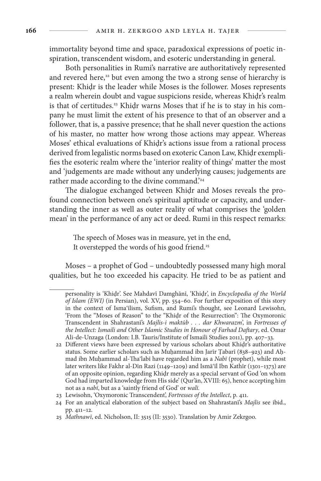immortality beyond time and space, paradoxical expressions of poetic inspiration, transcendent wisdom, and esoteric understanding in general.

Both personalities in Rumi's narrative are authoritatively represented and revered here,<sup>22</sup> but even among the two a strong sense of hierarchy is present: Khiḍr is the leader while Moses is the follower. Moses represents a realm wherein doubt and vague suspicions reside, whereas Khiḍr's realm is that of certitudes.<sup>23</sup> Khidr warns Moses that if he is to stay in his company he must limit the extent of his presence to that of an observer and a follower, that is, a passive presence; that he shall never question the actions of his master, no matter how wrong those actions may appear. Whereas Moses' ethical evaluations of Khiḍr's actions issue from a rational process derived from legalistic norms based on exoteric Canon Law, Khiḍr exemplifies the esoteric realm where the 'interior reality of things' matter the most and 'judgements are made without any underlying causes; judgements are rather made according to the divine command.'24

The dialogue exchanged between Khiḍr and Moses reveals the profound connection between one's spiritual aptitude or capacity, and understanding the inner as well as outer reality of what comprises the 'golden mean' in the performance of any act or deed. Rumi in this respect remarks:

The speech of Moses was in measure, yet in the end, It overstepped the words of his good friend.<sup>25</sup>

Moses – a prophet of God – undoubtedly possessed many high moral qualities, but he too exceeded his capacity. He tried to be as patient and

personality is 'Khiḍr'. See Mahdavī Damghānī, 'Khiḍr', in *Encyclopedia of the World of Islam (EWI)* (in Persian), vol. XV, pp. 554–60. For further exposition of this story in the context of Ismaʿīlism, Sufism, and Rumi's thought, see Leonard Lewisohn, 'From the "Moses of Reason" to the "Khiḍr of the Resurrection": The Oxymoronic Transcendent in Shahrastanī's *Majlis-i maktūb . . . dar Khwarazm*', in *Fortresses of the Intellect: Ismaili and Other Islamic Studies in Honour of Farhad Daftary*, ed. Omar Ali-de-Unzaga (London: I.B. Tauris/Institute of Ismaili Studies 2011), pp. 407–33.

<sup>22</sup> Different views have been expressed by various scholars about Khiḍr's authoritative status. Some earlier scholars such as Muḥammad ibn Jarīr Ṭabarī (838–923) and Aḥmad ibn Muḥammad al-Thaʿlabī have regarded him as a *Nabī* (prophet), while most later writers like Fakhr al-Dīn Razi (1149–1209) and Ismāʿīl Ibn Kathīr (1301–1373) are of an opposite opinion, regarding Khiḍr merely as a special servant of God 'on whom God had imparted knowledge from His side' (Qur'ān, XVIII: 65), hence accepting him not as a *nabī*, but as a 'saintly friend of God' or *walī.*

<sup>23</sup> Lewisohn, 'Oxymoronic Transcendent', *Fortresses of the Intellect*, p. 411.

<sup>24</sup> For an analytical elaboration of the subject based on Shahrastanī's *Majlis* see ibid., pp. 411–12.

<sup>25</sup> *Mathnawī*, ed. Nicholson, II: 3515 (II: 3530). Translation by Amir Zekrgoo.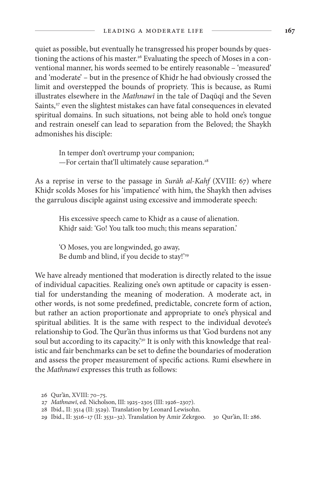quiet as possible, but eventually he transgressed his proper bounds by questioning the actions of his master.26 Evaluating the speech of Moses in a conventional manner, his words seemed to be entirely reasonable – 'measured' and 'moderate' – but in the presence of Khiḍr he had obviously crossed the limit and overstepped the bounds of propriety. This is because, as Rumi illustrates elsewhere in the *Mathnawī* in the tale of Daqūqī and the Seven Saints,<sup>27</sup> even the slightest mistakes can have fatal consequences in elevated spiritual domains. In such situations, not being able to hold one's tongue and restrain oneself can lead to separation from the Beloved; the Shaykh admonishes his disciple:

> In temper don't overtrump your companion; -For certain that'll ultimately cause separation.<sup>28</sup>

As a reprise in verse to the passage in *Surāh al-Kahf* (XVIII: 67) where Khiḍr scolds Moses for his 'impatience' with him, the Shaykh then advises the garrulous disciple against using excessive and immoderate speech:

> His excessive speech came to Khiḍr as a cause of alienation. Khiḍr said: 'Go! You talk too much; this means separation.'

'O Moses, you are longwinded, go away, Be dumb and blind, if you decide to stay!'29

We have already mentioned that moderation is directly related to the issue of individual capacities. Realizing one's own aptitude or capacity is essential for understanding the meaning of moderation. A moderate act, in other words, is not some predefined, predictable, concrete form of action, but rather an action proportionate and appropriate to one's physical and spiritual abilities. It is the same with respect to the individual devotee's relationship to God. The Qur'ān thus informs us that 'God burdens not any soul but according to its capacity.'30 It is only with this knowledge that realistic and fair benchmarks can be set to define the boundaries of moderation and assess the proper measurement of specific actions. Rumi elsewhere in the *Mathnawī* expresses this truth as follows:

<sup>26</sup> Qur'ān, XVIII: 70–75.

<sup>27</sup> *Mathnawī*, ed. Nicholson, III: 1925–2305 (III: 1926–2307).

<sup>28</sup> Ibid., II: 3514 (II: 3529). Translation by Leonard Lewisohn.

<sup>29</sup> Ibid., II: 3516–17 (II: 3531–32). Translation by Amir Zekrgoo. 30 Qur'ān, II: 286.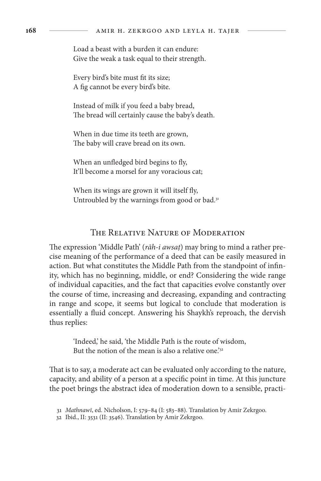Load a beast with a burden it can endure: Give the weak a task equal to their strength.

Every bird's bite must fit its size; A fig cannot be every bird's bite.

Instead of milk if you feed a baby bread, The bread will certainly cause the baby's death.

When in due time its teeth are grown, The baby will crave bread on its own.

When an unfledged bird begins to fly, It'll become a morsel for any voracious cat;

When its wings are grown it will itself fly, Untroubled by the warnings from good or bad.<sup>31</sup>

## The Relative Nature of Moderation

The expression 'Middle Path' (*rāh-i awsaṭ*) may bring to mind a rather precise meaning of the performance of a deed that can be easily measured in action. But what constitutes the Middle Path from the standpoint of infinity, which has no beginning, middle, or end? Considering the wide range of individual capacities, and the fact that capacities evolve constantly over the course of time, increasing and decreasing, expanding and contracting in range and scope, it seems but logical to conclude that moderation is essentially a fluid concept. Answering his Shaykh's reproach, the dervish thus replies:

> 'Indeed,' he said, 'the Middle Path is the route of wisdom, But the notion of the mean is also a relative one.<sup>32</sup>

That is to say, a moderate act can be evaluated only according to the nature, capacity, and ability of a person at a specific point in time. At this juncture the poet brings the abstract idea of moderation down to a sensible, practi-

<sup>31</sup> *Mathnawī*, ed. Nicholson, I: 579–84 (I: 583–88). Translation by Amir Zekrgoo.

<sup>32</sup> Ibid., II: 3531 (II: 3546). Translation by Amir Zekrgoo.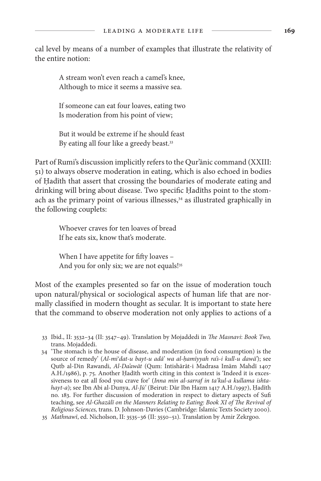cal level by means of a number of examples that illustrate the relativity of the entire notion:

> A stream won't even reach a camel's knee, Although to mice it seems a massive sea.

> If someone can eat four loaves, eating two Is moderation from his point of view;

> But it would be extreme if he should feast By eating all four like a greedy beast.<sup>33</sup>

Part of Rumi's discussion implicitly refers to the Qur'ānic command (XXIII: 51) to always observe moderation in eating, which is also echoed in bodies of Ḥadīth that assert that crossing the boundaries of moderate eating and drinking will bring about disease. Two specific Ḥadīths point to the stomach as the primary point of various illnesses,<sup>34</sup> as illustrated graphically in the following couplets:

Whoever craves for ten loaves of bread If he eats six, know that's moderate.

When I have appetite for fifty loaves – And you for only six; we are not equals!<sup>35</sup>

Most of the examples presented so far on the issue of moderation touch upon natural/physical or sociological aspects of human life that are normally classified in modern thought as secular. It is important to state here that the command to observe moderation not only applies to actions of a

- 34 'The stomach is the house of disease, and moderation (in food consumption) is the source of remedy' (*Al-mi*ʿ*dat-u bayt-u adā' wa al-ḥamīyyah ra's-i kull-u dawā'*); see Qutb al-Din Rawandi, *Al-Da'awāt* (Qum: Intishārāt-i Madrasa Imām Mahdī 1407 A.H./1986), p. 75. Another Ḥadīth worth citing in this context is 'Indeed it is excessiveness to eat all food you crave for' (*Inna min al-sarraf in taʾkul-a kullama ishtahayt-a*); see Ibn Abi al-Dunya, *Al-Jūʿ* (Beirut: Dār Ibn Hazm 1417 A.H./1997), Ḥadīth no. 183. For further discussion of moderation in respect to dietary aspects of Sufi teaching, see *Al-Ghazālī on the Manners Relating to Eating: Book XI of The Revival of Religious Sciences,* trans. D. Johnson-Davies (Cambridge: Islamic Texts Society 2000).
- 35 *Mathnawī*, ed. Nicholson, II: 3535–36 (II: 3550–51). Translation by Amir Zekrgoo.

<sup>33</sup> Ibid., II: 3532–34 (II: 3547–49). Translation by Mojaddedi in *The Masnavi*: *Book Two,* trans. Mojaddedi.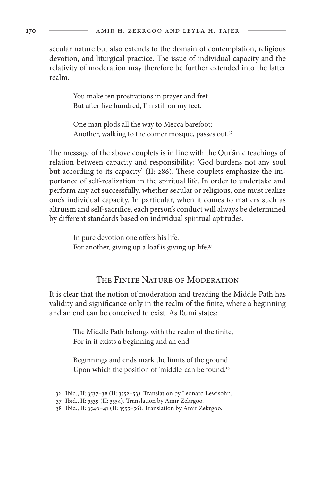secular nature but also extends to the domain of contemplation, religious devotion, and liturgical practice. The issue of individual capacity and the relativity of moderation may therefore be further extended into the latter realm.

> You make ten prostrations in prayer and fret But after five hundred, I'm still on my feet.

One man plods all the way to Mecca barefoot; Another, walking to the corner mosque, passes out.<sup>36</sup>

The message of the above couplets is in line with the Qur'ānic teachings of relation between capacity and responsibility: 'God burdens not any soul but according to its capacity' (II: 286). These couplets emphasize the importance of self-realization in the spiritual life. In order to undertake and perform any act successfully, whether secular or religious, one must realize one's individual capacity. In particular, when it comes to matters such as altruism and self-sacrifice, each person's conduct will always be determined by different standards based on individual spiritual aptitudes.

In pure devotion one offers his life. For another, giving up a loaf is giving up life. $37$ 

## The Finite Nature of Moderation

It is clear that the notion of moderation and treading the Middle Path has validity and significance only in the realm of the finite, where a beginning and an end can be conceived to exist. As Rumi states:

> The Middle Path belongs with the realm of the finite, For in it exists a beginning and an end.

Beginnings and ends mark the limits of the ground Upon which the position of 'middle' can be found.<sup>38</sup>

<sup>36</sup> Ibid., II: 3537–38 (II: 3552–53). Translation by Leonard Lewisohn.

<sup>37</sup> Ibid*.*, II: 3539 (II: 3554). Translation by Amir Zekrgoo.

<sup>38</sup> Ibid., II: 3540–41 (II: 3555–56). Translation by Amir Zekrgoo.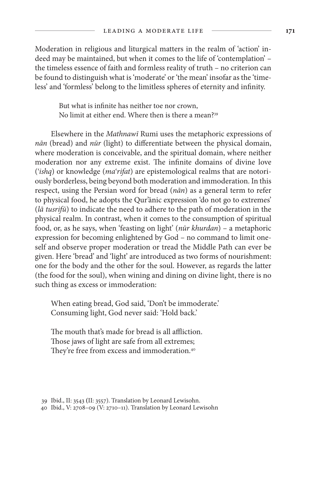Moderation in religious and liturgical matters in the realm of 'action' indeed may be maintained, but when it comes to the life of 'contemplation' – the timeless essence of faith and formless reality of truth – no criterion can be found to distinguish what is 'moderate' or 'the mean' insofar as the 'timeless' and 'formless' belong to the limitless spheres of eternity and infinity.

> But what is infinite has neither toe nor crown, No limit at either end. Where then is there a mean?39

Elsewhere in the *Mathnawī* Rumi uses the metaphoric expressions of *nān* (bread) and *nūr* (light) to differentiate between the physical domain, where moderation is conceivable, and the spiritual domain, where neither moderation nor any extreme exist. The infinite domains of divine love (ʿ*ishq*) or knowledge (*ma*ʿ*rifat*) are epistemological realms that are notoriously borderless, being beyond both moderation and immoderation. In this respect, using the Persian word for bread (*nān*) as a general term to refer to physical food, he adopts the Qur'ānic expression 'do not go to extremes' (*lā tusrifū*) to indicate the need to adhere to the path of moderation in the physical realm. In contrast, when it comes to the consumption of spiritual food, or, as he says, when 'feasting on light' (*nūr khurdan*) – a metaphoric expression for becoming enlightened by God – no command to limit oneself and observe proper moderation or tread the Middle Path can ever be given. Here 'bread' and 'light' are introduced as two forms of nourishment: one for the body and the other for the soul. However, as regards the latter (the food for the soul), when wining and dining on divine light, there is no such thing as excess or immoderation:

When eating bread, God said, 'Don't be immoderate.' Consuming light, God never said: 'Hold back.'

The mouth that's made for bread is all affliction. Those jaws of light are safe from all extremes; They're free from excess and immoderation.<sup>40</sup>

<sup>39</sup> Ibid., II: 3543 **(**II: 3557). Translation by Leonard Lewisohn.

<sup>40</sup> Ibid., V: 2708–09 (V: 2710–11). Translation by Leonard Lewisohn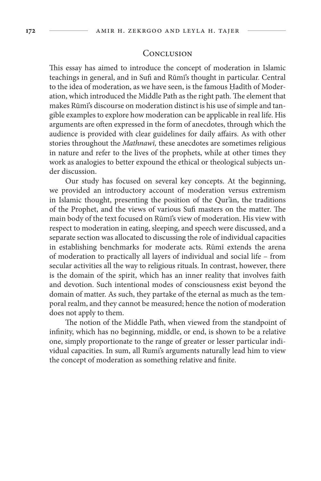#### **CONCLUSION**

This essay has aimed to introduce the concept of moderation in Islamic teachings in general, and in Sufi and Rūmī's thought in particular. Central to the idea of moderation, as we have seen, is the famous Hadīth of Moderation, which introduced the Middle Path as the right path. The element that makes Rūmī's discourse on moderation distinct is his use of simple and tangible examples to explore how moderation can be applicable in real life. His arguments are often expressed in the form of anecdotes, through which the audience is provided with clear guidelines for daily affairs. As with other stories throughout the *Mathnawī,* these anecdotes are sometimes religious in nature and refer to the lives of the prophets, while at other times they work as analogies to better expound the ethical or theological subjects under discussion.

Our study has focused on several key concepts. At the beginning, we provided an introductory account of moderation versus extremism in Islamic thought, presenting the position of the Qur'ān, the traditions of the Prophet, and the views of various Sufi masters on the matter. The main body of the text focused on Rūmī's view of moderation. His view with respect to moderation in eating, sleeping, and speech were discussed, and a separate section was allocated to discussing the role of individual capacities in establishing benchmarks for moderate acts. Rūmī extends the arena of moderation to practically all layers of individual and social life – from secular activities all the way to religious rituals. In contrast, however, there is the domain of the spirit, which has an inner reality that involves faith and devotion. Such intentional modes of consciousness exist beyond the domain of matter. As such, they partake of the eternal as much as the temporal realm, and they cannot be measured; hence the notion of moderation does not apply to them.

The notion of the Middle Path, when viewed from the standpoint of infinity, which has no beginning, middle, or end, is shown to be a relative one, simply proportionate to the range of greater or lesser particular individual capacities. In sum, all Rumi's arguments naturally lead him to view the concept of moderation as something relative and finite.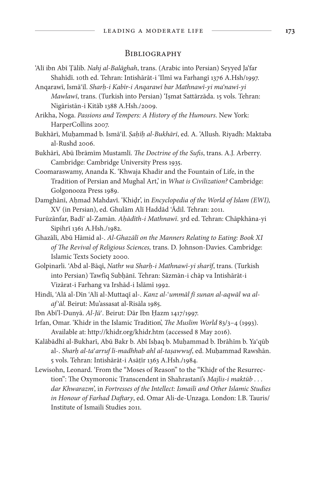#### **BIBLIOGRAPHY**

- 'Alī ibn Abī Ṭālib. *Nahj al-Balāghah*, trans. (Arabic into Persian) Seyyed Ja'far Shahīdī. 10th ed. Tehran: Intishārāt-i 'Ilmī wa Farhangī 1376 A.Hsh/1997.
- Anqarawī, Ismāʿīl. *Sharḥ-i Kabīr-i Anqarawī bar Mathnawī-yi ma*ʿ*nawī-yi Mawlawī*, trans. (Turkish into Persian) 'Iṣmat Sattārzāda. 15 vols. Tehran: Nigāristān-i Kitāb 1388 A.Hsh./2009.
- Arikha, Noga. *Passions and Tempers: A History of the Humours*. New York: HarperCollins 2007.
- Bukhārī, Muḥammad b. Ismāʿīl. *Ṣaḥīḥ al-Bukhārī*, ed. A. 'Allush. Riyadh: Maktaba al-Rushd 2006.
- Bukhārī, Abū Ibrāmīm Mustamlī. *The Doctrine of the Sufis*, trans. A.J. Arberry*.*  Cambridge: Cambridge University Press 1935.
- Coomaraswamy, Ananda K. 'Khwaja Khadir and the Fountain of Life, in the Tradition of Persian and Mughal Art,' in *What is Civilization?* Cambridge: Golgonooza Press 1989.
- Damghānī, Aḥmad Mahdavī. 'Khiḍr', in *Encyclopedia of the World of Islam (EWI),*  XV (in Persian), ed. Ghulām Alī Haddād ʿĀdil. Tehran: 2011.
- Furūzānfar, Badīʿ al-Zamān. *Aḥādīth-i Mathnawī*. 3rd ed. Tehran: Chāpkhāna-yi Sipihrī 1361 A.Hsh./1982.
- Ghazālī, Abū Hāmid al-. *Al-Ghazālī on the Manners Relating to Eating: Book XI of The Revival of Religious Sciences,* trans. D. Johnson-Davies. Cambridge: Islamic Texts Society 2000.
- Golpinarli. ʿAbd al-Bāqī, *Nathr wa Sharḥ-i Mathnawī-yi sharīf*, trans. (Turkish into Persian) Tawfīq Subḥānī. Tehran: Sāzmān-i chāp va Intishārāt-i Vizārat-i Farhang va Irshād-i Islāmī 1992.
- Hindī, ʿAlā al-Dīn ʿAlī al-Muttaqī al-. *Kanz al-*ʿ*ummāl fī sunan al-aqwāl wa alaf* ʿ*āl.* Beirut: Mu'assasat al-Risāla 1985.
- Ibn Abī'l-Dunyā. *Al-Jū*ʿ. Beirut: Dār Ibn Ḥazm 1417/1997.
- Irfan, Omar. 'Khidr in the Islamic Tradition', *The Muslim World* 83/3–4 (1993). Available at: http://khidr.org/khidr.htm (accessed 8 May 2016).
- Kalābādhī al-Bukharī, Abū Bakr b. Abī Isḥaq b. Muḥammad b. Ibrāhīm b. Yaʿqūb al-. *Sharḥ al-ta*ʿ*arruf li-madhhab ahl al-taṣawwuf*, ed. Muḥammad Rawshān. 5 vols. Tehran: Intishārāt-i Asāṭīr 1363 A.Hsh./1984.
- Lewisohn, Leonard. 'From the "Moses of Reason" to the "Khiḍr of the Resurrection": The Oxymoronic Transcendent in Shahrastanī's *Majlis-i maktūb . . . dar Khwarazm*', in *Fortresses of the Intellect: Ismaili and Other Islamic Studies in Honour of Farhad Daftary*, ed. Omar Ali-de-Unzaga. London: I.B. Tauris/ Institute of Ismaili Studies 2011.